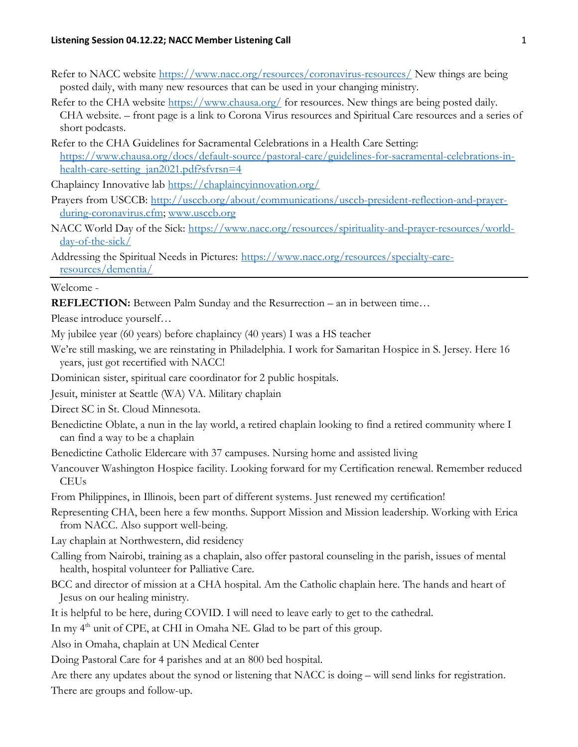- Refer to NACC website https://www.nacc.org/resources/coronavirus-resources/ New things are being posted daily, with many new resources that can be used in your changing ministry.
- Refer to the CHA website https://www.chausa.org/ for resources. New things are being posted daily. CHA website. – front page is a link to Corona Virus resources and Spiritual Care resources and a series of short podcasts.
- Refer to the CHA Guidelines for Sacramental Celebrations in a Health Care Setting: https://www.chausa.org/docs/default-source/pastoral-care/guidelines-for-sacramental-celebrations-inhealth-care-setting\_jan2021.pdf?sfvrsn=4
- Chaplaincy Innovative lab https://chaplaincyinnovation.org/
- Prayers from USCCB: http://usccb.org/about/communications/usccb-president-reflection-and-prayerduring-coronavirus.cfm; www.usccb.org
- NACC World Day of the Sick: https://www.nacc.org/resources/spirituality-and-prayer-resources/worldday-of-the-sick/
- Addressing the Spiritual Needs in Pictures: https://www.nacc.org/resources/specialty-careresources/dementia/

## Welcome -

REFLECTION: Between Palm Sunday and the Resurrection – an in between time…

Please introduce yourself…

My jubilee year (60 years) before chaplaincy (40 years) I was a HS teacher

- We're still masking, we are reinstating in Philadelphia. I work for Samaritan Hospice in S. Jersey. Here 16 years, just got recertified with NACC!
- Dominican sister, spiritual care coordinator for 2 public hospitals.
- Jesuit, minister at Seattle (WA) VA. Military chaplain

Direct SC in St. Cloud Minnesota.

- Benedictine Oblate, a nun in the lay world, a retired chaplain looking to find a retired community where I can find a way to be a chaplain
- Benedictine Catholic Eldercare with 37 campuses. Nursing home and assisted living
- Vancouver Washington Hospice facility. Looking forward for my Certification renewal. Remember reduced **CEUs**
- From Philippines, in Illinois, been part of different systems. Just renewed my certification!
- Representing CHA, been here a few months. Support Mission and Mission leadership. Working with Erica from NACC. Also support well-being.

Lay chaplain at Northwestern, did residency

- Calling from Nairobi, training as a chaplain, also offer pastoral counseling in the parish, issues of mental health, hospital volunteer for Palliative Care.
- BCC and director of mission at a CHA hospital. Am the Catholic chaplain here. The hands and heart of Jesus on our healing ministry.
- It is helpful to be here, during COVID. I will need to leave early to get to the cathedral.

In my  $4<sup>th</sup>$  unit of CPE, at CHI in Omaha NE. Glad to be part of this group.

Also in Omaha, chaplain at UN Medical Center

Doing Pastoral Care for 4 parishes and at an 800 bed hospital.

Are there any updates about the synod or listening that NACC is doing – will send links for registration.

There are groups and follow-up.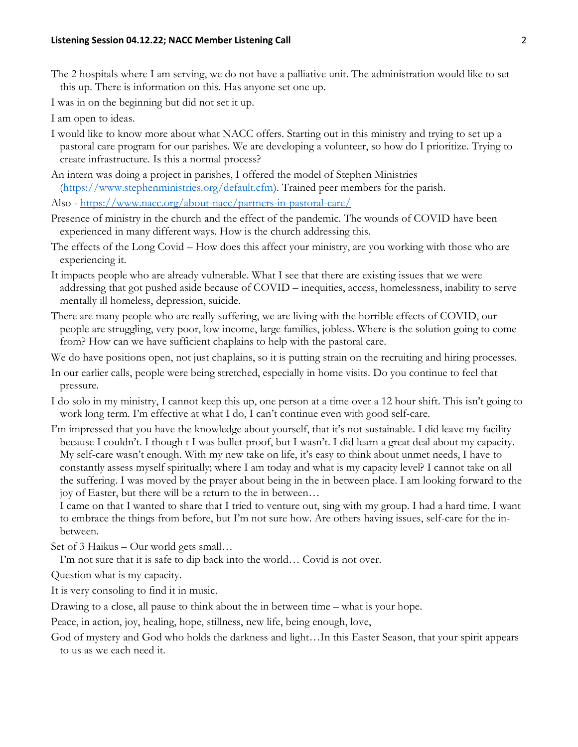- The 2 hospitals where I am serving, we do not have a palliative unit. The administration would like to set this up. There is information on this. Has anyone set one up.
- I was in on the beginning but did not set it up.
- I am open to ideas.
- I would like to know more about what NACC offers. Starting out in this ministry and trying to set up a pastoral care program for our parishes. We are developing a volunteer, so how do I prioritize. Trying to create infrastructure. Is this a normal process?
- An intern was doing a project in parishes, I offered the model of Stephen Ministries (https://www.stephenministries.org/default.cfm). Trained peer members for the parish.
- Also https://www.nacc.org/about-nacc/partners-in-pastoral-care/
- Presence of ministry in the church and the effect of the pandemic. The wounds of COVID have been experienced in many different ways. How is the church addressing this.
- The effects of the Long Covid How does this affect your ministry, are you working with those who are experiencing it.
- It impacts people who are already vulnerable. What I see that there are existing issues that we were addressing that got pushed aside because of COVID – inequities, access, homelessness, inability to serve mentally ill homeless, depression, suicide.
- There are many people who are really suffering, we are living with the horrible effects of COVID, our people are struggling, very poor, low income, large families, jobless. Where is the solution going to come from? How can we have sufficient chaplains to help with the pastoral care.
- We do have positions open, not just chaplains, so it is putting strain on the recruiting and hiring processes.
- In our earlier calls, people were being stretched, especially in home visits. Do you continue to feel that pressure.
- I do solo in my ministry, I cannot keep this up, one person at a time over a 12 hour shift. This isn't going to work long term. I'm effective at what I do, I can't continue even with good self-care.
- I'm impressed that you have the knowledge about yourself, that it's not sustainable. I did leave my facility because I couldn't. I though t I was bullet-proof, but I wasn't. I did learn a great deal about my capacity. My self-care wasn't enough. With my new take on life, it's easy to think about unmet needs, I have to constantly assess myself spiritually; where I am today and what is my capacity level? I cannot take on all the suffering. I was moved by the prayer about being in the in between place. I am looking forward to the joy of Easter, but there will be a return to the in between…

I came on that I wanted to share that I tried to venture out, sing with my group. I had a hard time. I want to embrace the things from before, but I'm not sure how. Are others having issues, self-care for the inbetween.

Set of 3 Haikus – Our world gets small…

I'm not sure that it is safe to dip back into the world… Covid is not over.

Question what is my capacity.

It is very consoling to find it in music.

Drawing to a close, all pause to think about the in between time – what is your hope.

Peace, in action, joy, healing, hope, stillness, new life, being enough, love,

God of mystery and God who holds the darkness and light…In this Easter Season, that your spirit appears to us as we each need it.